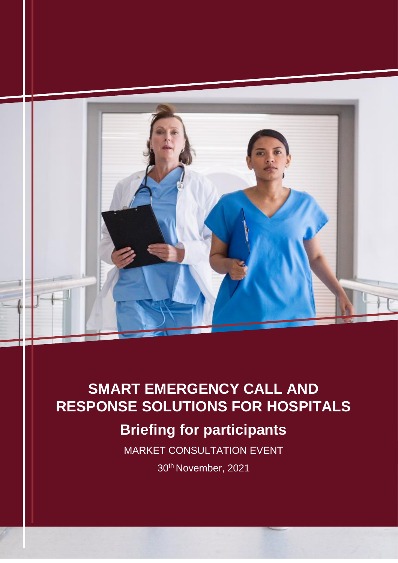

# **SMART EMERGENCY CALL AND RESPONSE SOLUTIONS FOR HOSPITALS**

# **Briefing for participants**

MARKET CONSULTATION EVENT

30th November, 2021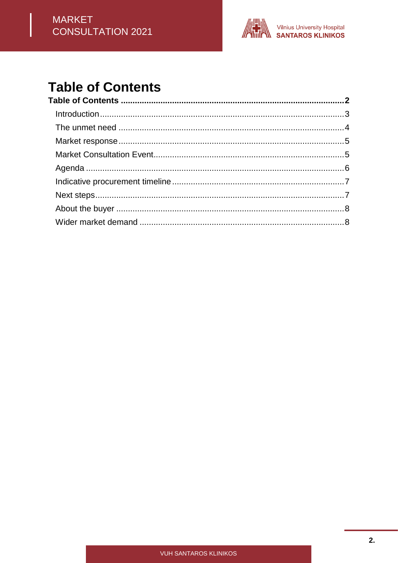

## <span id="page-1-0"></span>**Table of Contents**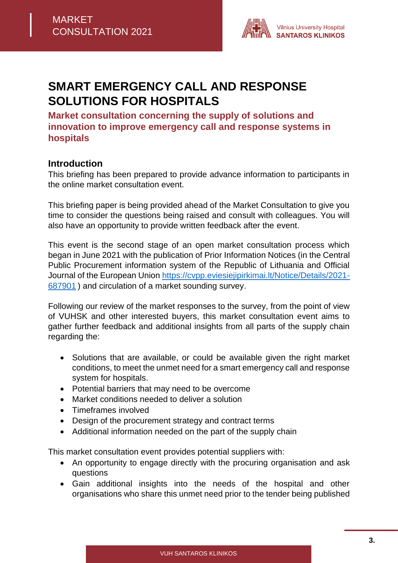

## **SMART EMERGENCY CALL AND RESPONSE SOLUTIONS FOR HOSPITALS**

**Market consultation concerning the supply of solutions and innovation to improve emergency call and response systems in hospitals**

#### <span id="page-2-0"></span>**Introduction**

This briefing has been prepared to provide advance information to participants in the online market consultation event.

This briefing paper is being provided ahead of the Market Consultation to give you time to consider the questions being raised and consult with colleagues. You will also have an opportunity to provide written feedback after the event.

This event is the second stage of an open market consultation process which began in June 2021 with the publication of Prior Information Notices (in the Central Public Procurement information system of the Republic of Lithuania and Official Journal of the European Union [https://cvpp.eviesiejipirkimai.lt/Notice/Details/2021-](https://cvpp.eviesiejipirkimai.lt/Notice/Details/2021-687901) [687901](https://cvpp.eviesiejipirkimai.lt/Notice/Details/2021-687901) ) and circulation of a market sounding survey.

Following our review of the market responses to the survey, from the point of view of VUHSK and other interested buyers, this market consultation event aims to gather further feedback and additional insights from all parts of the supply chain regarding the:

- Solutions that are available, or could be available given the right market conditions, to meet the unmet need for a smart emergency call and response system for hospitals.
- Potential barriers that may need to be overcome
- Market conditions needed to deliver a solution
- Timeframes involved
- Design of the procurement strategy and contract terms
- Additional information needed on the part of the supply chain

This market consultation event provides potential suppliers with:

- An opportunity to engage directly with the procuring organisation and ask questions
- Gain additional insights into the needs of the hospital and other organisations who share this unmet need prior to the tender being published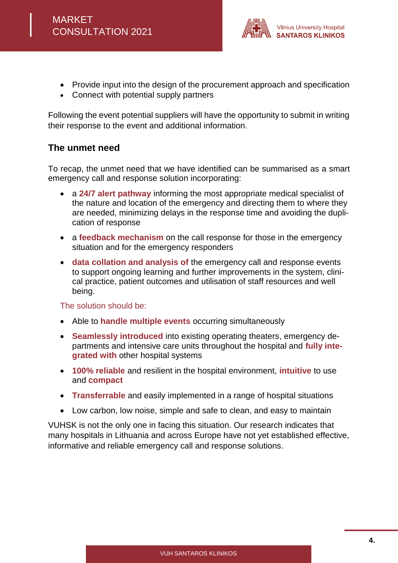

- Provide input into the design of the procurement approach and specification
- Connect with potential supply partners

Following the event potential suppliers will have the opportunity to submit in writing their response to the event and additional information.

## <span id="page-3-0"></span>**The unmet need**

To recap, the unmet need that we have identified can be summarised as a smart emergency call and response solution incorporating:

- a **24/7 alert pathway** informing the most appropriate medical specialist of the nature and location of the emergency and directing them to where they are needed, minimizing delays in the response time and avoiding the duplication of response
- a **feedback mechanism** on the call response for those in the emergency situation and for the emergency responders
- **data collation and analysis of** the emergency call and response events to support ongoing learning and further improvements in the system, clinical practice, patient outcomes and utilisation of staff resources and well being.

The solution should be:

- Able to **handle multiple events** occurring simultaneously
- **Seamlessly introduced** into existing operating theaters, emergency departments and intensive care units throughout the hospital and **fully integrated with** other hospital systems
- **100% reliable** and resilient in the hospital environment, **intuitive** to use and **compact**
- **Transferrable** and easily implemented in a range of hospital situations
- Low carbon, low noise, simple and safe to clean, and easy to maintain

VUHSK is not the only one in facing this situation. Our research indicates that many hospitals in Lithuania and across Europe have not yet established effective, informative and reliable emergency call and response solutions.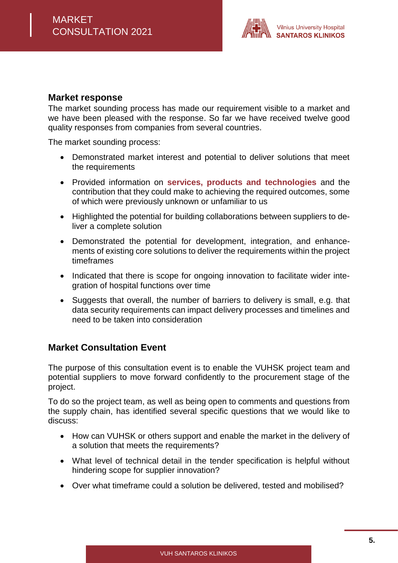

#### <span id="page-4-0"></span>**Market response**

The market sounding process has made our requirement visible to a market and we have been pleased with the response. So far we have received twelve good quality responses from companies from several countries.

The market sounding process:

- Demonstrated market interest and potential to deliver solutions that meet the requirements
- Provided information on **services, products and technologies** and the contribution that they could make to achieving the required outcomes, some of which were previously unknown or unfamiliar to us
- Highlighted the potential for building collaborations between suppliers to deliver a complete solution
- Demonstrated the potential for development, integration, and enhancements of existing core solutions to deliver the requirements within the project timeframes
- Indicated that there is scope for ongoing innovation to facilitate wider integration of hospital functions over time
- Suggests that overall, the number of barriers to delivery is small, e.g. that data security requirements can impact delivery processes and timelines and need to be taken into consideration

## <span id="page-4-1"></span>**Market Consultation Event**

The purpose of this consultation event is to enable the VUHSK project team and potential suppliers to move forward confidently to the procurement stage of the project.

To do so the project team, as well as being open to comments and questions from the supply chain, has identified several specific questions that we would like to discuss:

- How can VUHSK or others support and enable the market in the delivery of a solution that meets the requirements?
- What level of technical detail in the tender specification is helpful without hindering scope for supplier innovation?
- Over what timeframe could a solution be delivered, tested and mobilised?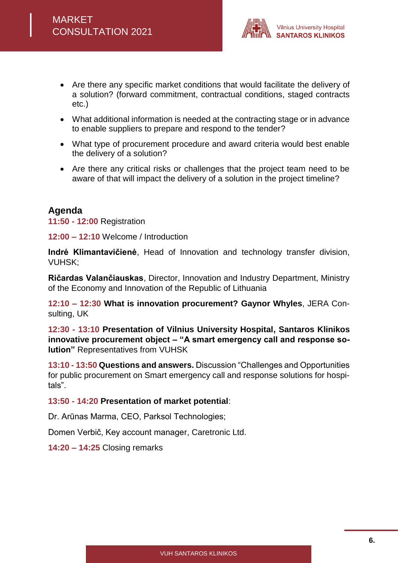

- Are there any specific market conditions that would facilitate the delivery of a solution? (forward commitment, contractual conditions, staged contracts etc.)
- What additional information is needed at the contracting stage or in advance to enable suppliers to prepare and respond to the tender?
- What type of procurement procedure and award criteria would best enable the delivery of a solution?
- Are there any critical risks or challenges that the project team need to be aware of that will impact the delivery of a solution in the project timeline?

## <span id="page-5-0"></span>**Agenda**

**11:50 - 12:00** Registration

**12:00 – 12:10** Welcome / Introduction

**Indrė Klimantavičienė**, Head of Innovation and technology transfer division, VUHSK;

**Ričardas Valančiauskas**, Director, Innovation and Industry Department, Ministry of the Economy and Innovation of the Republic of Lithuania

**12:10 – 12:30 What is innovation procurement? Gaynor Whyles**, JERA Consulting, UK

**12:30 - 13:10 Presentation of Vilnius University Hospital, Santaros Klinikos innovative procurement object – "A smart emergency call and response solution"** Representatives from VUHSK

**13:10 - 13:50 Questions and answers.** Discussion "Challenges and Opportunities for public procurement on Smart emergency call and response solutions for hospitals".

#### **13:50 - 14:20 Presentation of market potential**:

Dr. Arūnas Marma, CEO, Parksol Technologies;

Domen Verbič, Key account manager, Caretronic Ltd.

**14:20 – 14:25** Closing remarks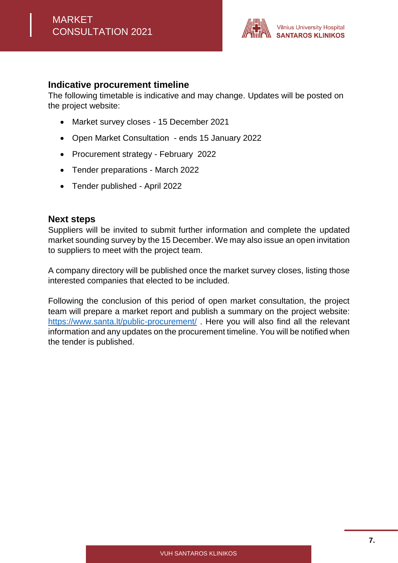

#### <span id="page-6-0"></span>**Indicative procurement timeline**

The following timetable is indicative and may change. Updates will be posted on the project website:

- Market survey closes 15 December 2021
- Open Market Consultation ends 15 January 2022
- Procurement strategy February 2022
- Tender preparations March 2022
- Tender published April 2022

## <span id="page-6-1"></span>**Next steps**

Suppliers will be invited to submit further information and complete the updated market sounding survey by the 15 December. We may also issue an open invitation to suppliers to meet with the project team.

A company directory will be published once the market survey closes, listing those interested companies that elected to be included.

Following the conclusion of this period of open market consultation, the project team will prepare a market report and publish a summary on the project website: <https://www.santa.lt/public-procurement/> . Here you will also find all the relevant information and any updates on the procurement timeline. You will be notified when the tender is published.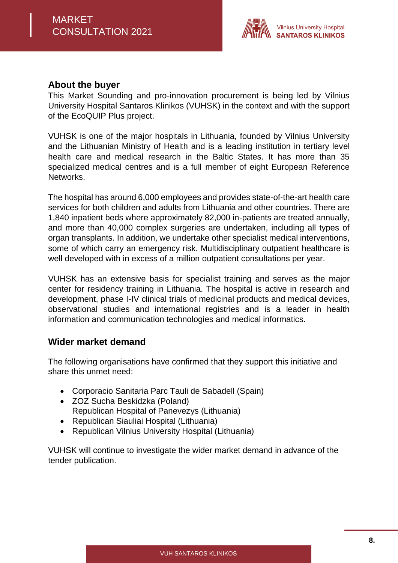

#### <span id="page-7-0"></span>**About the buyer**

This Market Sounding and pro-innovation procurement is being led by Vilnius University Hospital Santaros Klinikos (VUHSK) in the context and with the support of the EcoQUIP Plus project.

VUHSK is one of the major hospitals in Lithuania, founded by Vilnius University and the Lithuanian Ministry of Health and is a leading institution in tertiary level health care and medical research in the Baltic States. It has more than 35 specialized medical centres and is a full member of eight European Reference Networks.

The hospital has around 6,000 employees and provides state-of-the-art health care services for both children and adults from Lithuania and other countries. There are 1,840 inpatient beds where approximately 82,000 in-patients are treated annually, and more than 40,000 complex surgeries are undertaken, including all types of organ transplants. In addition, we undertake other specialist medical interventions, some of which carry an emergency risk. Multidisciplinary outpatient healthcare is well developed with in excess of a million outpatient consultations per year.

VUHSK has an extensive basis for specialist training and serves as the major center for residency training in Lithuania. The hospital is active in research and development, phase I-IV clinical trials of medicinal products and medical devices, observational studies and international registries and is a leader in health information and communication technologies and medical informatics.

## <span id="page-7-1"></span>**Wider market demand**

The following organisations have confirmed that they support this initiative and share this unmet need:

- Corporacio Sanitaria Parc Tauli de Sabadell (Spain)
- ZOZ Sucha Beskidzka (Poland) Republican Hospital of Panevezys (Lithuania)
- Republican Siauliai Hospital (Lithuania)
- Republican Vilnius University Hospital (Lithuania)

VUHSK will continue to investigate the wider market demand in advance of the tender publication.